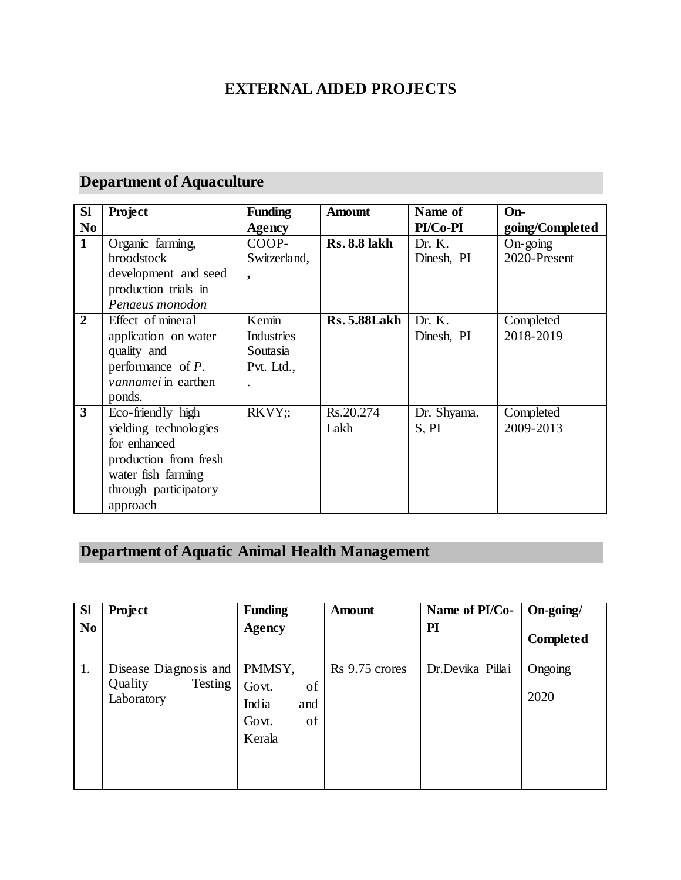#### **EXTERNAL AIDED PROJECTS**

#### **Department of Aquaculture**

| <b>SI</b>      | Project                    | <b>Funding</b> | <b>Amount</b>       | Name of     | On-               |
|----------------|----------------------------|----------------|---------------------|-------------|-------------------|
| N <sub>0</sub> |                            | <b>Agency</b>  |                     | PI/Co-PI    | going/Completed   |
| $\mathbf{1}$   | Organic farming,           | COOP-          | <b>Rs. 8.8 lakh</b> | Dr. K.      | $On\text{-}going$ |
|                | <b>broodstock</b>          | Switzerland,   |                     | Dinesh, PI  | 2020-Present      |
|                | development and seed       | ۰              |                     |             |                   |
|                | production trials in       |                |                     |             |                   |
|                | Penaeus monodon            |                |                     |             |                   |
| $\mathbf{2}$   | Effect of mineral          | Kemin          | <b>Rs. 5.88Lakh</b> | Dr. K.      | Completed         |
|                | application on water       | Industries     |                     | Dinesh, PI  | 2018-2019         |
|                | quality and                | Soutasia       |                     |             |                   |
|                | performance of $P$ .       | Pvt. Ltd.,     |                     |             |                   |
|                | <i>vannamei</i> in earthen |                |                     |             |                   |
|                | ponds.                     |                |                     |             |                   |
| 3              | Eco-friendly high          | RKVY:          | Rs.20.274           | Dr. Shyama. | Completed         |
|                | yielding technologies      |                | Lakh                | S, PI       | 2009-2013         |
|                | for enhanced               |                |                     |             |                   |
|                | production from fresh      |                |                     |             |                   |
|                | water fish farming         |                |                     |             |                   |
|                | through participatory      |                |                     |             |                   |
|                | approach                   |                |                     |             |                   |

## **Department of Aquatic Animal Health Management**

| <b>Sl</b> | <b>Project</b>                                            | <b>Funding</b>                                                 | <b>Amount</b>  | Name of PI/Co-   | On-going/       |
|-----------|-----------------------------------------------------------|----------------------------------------------------------------|----------------|------------------|-----------------|
| No.       |                                                           | <b>Agency</b>                                                  |                | PI               | Completed       |
| 1.        | Disease Diagnosis and<br>Quality<br>Testing<br>Laboratory | PMMSY,<br>Govt.<br>of<br>India<br>and<br>of<br>Govt.<br>Kerala | Rs 9.75 crores | Dr.Devika Pillai | Ongoing<br>2020 |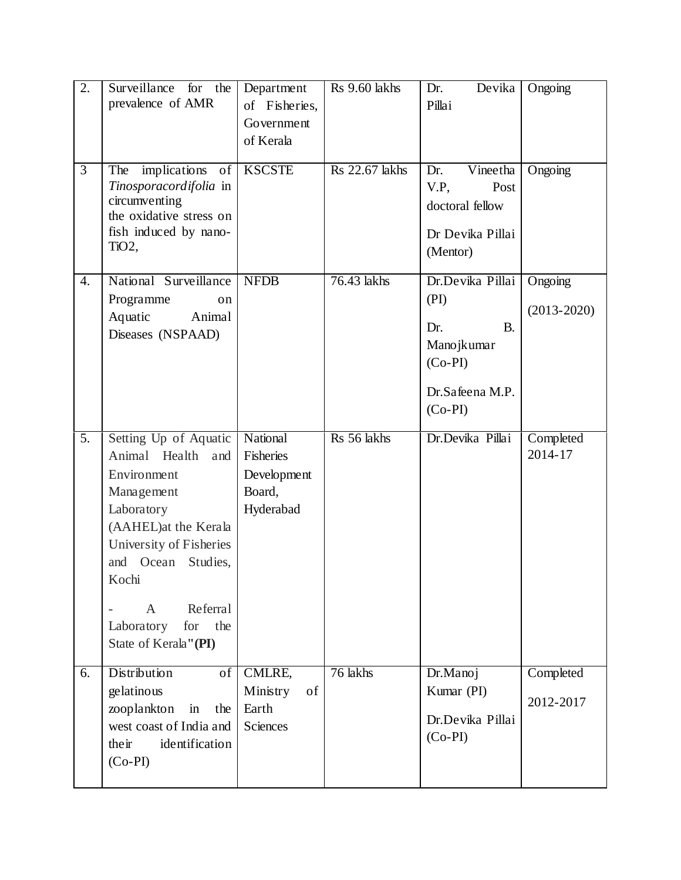| 2.               | Surveillance<br>for<br>the<br>prevalence of AMR                                                                                                                                                                                                                                            | Department<br>of Fisheries,<br>Government<br>of Kerala      | Rs 9.60 lakhs         | Devika<br>Dr.<br>Pillai                                                                                 | Ongoing                    |
|------------------|--------------------------------------------------------------------------------------------------------------------------------------------------------------------------------------------------------------------------------------------------------------------------------------------|-------------------------------------------------------------|-----------------------|---------------------------------------------------------------------------------------------------------|----------------------------|
| $\overline{3}$   | implications of<br>The<br>Tinosporacordifolia in<br>circumventing<br>the oxidative stress on<br>fish induced by nano-<br>TiO2,                                                                                                                                                             | <b>KSCSTE</b>                                               | <b>Rs</b> 22.67 lakhs | Vineetha<br>Dr.<br>V.P.<br>Post<br>doctoral fellow<br>Dr Devika Pillai<br>(Mentor)                      | Ongoing                    |
| $\overline{4}$ . | National Surveillance<br>Programme<br>on<br>Aquatic<br>Animal<br>Diseases (NSPAAD)                                                                                                                                                                                                         | <b>NFDB</b>                                                 | 76.43 lakhs           | Dr.Devika Pillai<br>(PI)<br><b>B.</b><br>Dr.<br>Manojkumar<br>$(Co-PI)$<br>Dr.Safeena M.P.<br>$(Co-PI)$ | Ongoing<br>$(2013 - 2020)$ |
| $\overline{5}$ . | Setting Up of Aquatic<br>Animal Health<br>and<br>Environment<br>Management<br>Laboratory<br>(AAHEL) at the Kerala<br>University of Fisheries<br>and Ocean<br>Studies,<br>Kochi<br>Referral<br>$\mathbf{A}$<br>$\overline{\phantom{m}}$<br>Laboratory<br>for<br>the<br>State of Kerala"(PI) | National<br>Fisheries<br>Development<br>Board,<br>Hyderabad | Rs 56 lakhs           | Dr.Devika Pillai                                                                                        | Completed<br>2014-17       |
| 6.               | <b>Distribution</b><br>of<br>gelatinous<br>zooplankton<br>in<br>the<br>west coast of India and<br>identification<br>their<br>$(Co-PI)$                                                                                                                                                     | CMLRE,<br>Ministry<br>of<br>Earth<br><b>Sciences</b>        | 76 lakhs              | Dr.Manoj<br>Kumar (PI)<br>Dr.Devika Pillai<br>$(Co-PI)$                                                 | Completed<br>2012-2017     |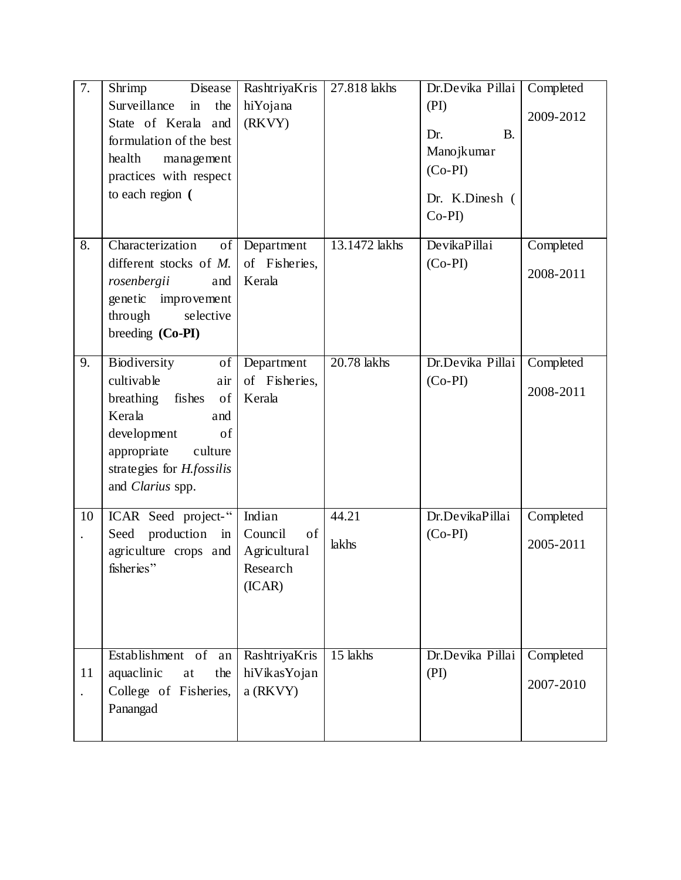| 7.                         | Shrimp<br>Disease<br>Surveillance<br>the<br>$\operatorname{in}$<br>State of Kerala and<br>formulation of the best<br>health<br>management<br>practices with respect<br>to each region (      | RashtriyaKris<br>hiYojana<br>(RKVY)                           | 27.818 lakhs   | Dr.Devika Pillai<br>(PI)<br>Dr.<br><b>B.</b><br>Manojkumar<br>$(Co-PI)$<br>Dr. K.Dinesh (<br>$Co-PI$ | Completed<br>2009-2012 |
|----------------------------|----------------------------------------------------------------------------------------------------------------------------------------------------------------------------------------------|---------------------------------------------------------------|----------------|------------------------------------------------------------------------------------------------------|------------------------|
| 8.                         | Characterization<br>of<br>different stocks of M.<br>rosenbergii<br>and<br>genetic<br>improvement<br>through<br>selective<br>breeding (Co-PI)                                                 | Department<br>of Fisheries,<br>Kerala                         | 13.1472 lakhs  | DevikaPillai<br>$(Co-PI)$                                                                            | Completed<br>2008-2011 |
| 9.                         | Biodiversity<br>of<br>cultivable<br>air<br>fishes<br>breathing<br>of<br>Kerala<br>and<br>development<br>of<br>appropriate<br>culture<br>strategies for <i>H.fossilis</i><br>and Clarius spp. | Department<br>of Fisheries,<br>Kerala                         | 20.78 lakhs    | Dr.Devika Pillai<br>$(Co-PI)$                                                                        | Completed<br>2008-2011 |
| 10                         | ICAR Seed project-"<br>production<br>Seed<br>in<br>agriculture crops and<br>fisheries"                                                                                                       | Indian<br>Council<br>of<br>Agricultural<br>Research<br>(ICAR) | 44.21<br>lakhs | Dr.DevikaPillai<br>$(Co-PI)$                                                                         | Completed<br>2005-2011 |
| 11<br>$\ddot{\phantom{0}}$ | Establishment of<br>an<br>aquaclinic<br>the<br>at<br>College of Fisheries,<br>Panangad                                                                                                       | RashtriyaKris<br>hiVikasYojan<br>a (RKVY)                     | 15 lakhs       | Dr.Devika Pillai<br>(PI)                                                                             | Completed<br>2007-2010 |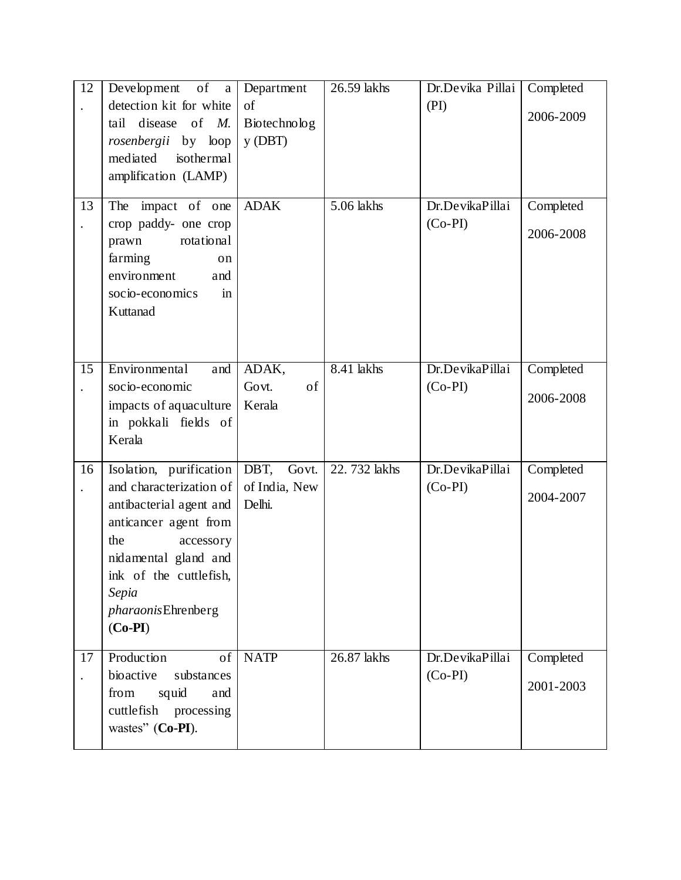| 12<br>$\ddot{\phantom{0}}$<br>13 | Development of a<br>detection kit for white<br>tail disease of M.<br>rosenbergii by loop<br>mediated<br>isothermal<br>amplification (LAMP)<br>The impact of one<br>crop paddy- one crop<br>rotational<br>prawn<br>farming<br>on<br>environment<br>and<br>socio-economics<br>in | Department<br>of<br>Biotechnolog<br>$y$ (DBT)<br><b>ADAK</b> | 26.59 lakhs<br>5.06 lakhs | Dr.Devika Pillai<br>(PI)<br>Dr.DevikaPillai<br>$(Co-PI)$ | Completed<br>2006-2009<br>Completed<br>2006-2008 |
|----------------------------------|--------------------------------------------------------------------------------------------------------------------------------------------------------------------------------------------------------------------------------------------------------------------------------|--------------------------------------------------------------|---------------------------|----------------------------------------------------------|--------------------------------------------------|
| 15                               | Kuttanad<br>Environmental<br>and<br>socio-economic<br>impacts of aquaculture<br>in pokkali fields of<br>Kerala                                                                                                                                                                 | ADAK,<br>Govt.<br>of<br>Kerala                               | 8.41 lakhs                | Dr.DevikaPillai<br>$(Co-PI)$                             | Completed<br>2006-2008                           |
| 16                               | Isolation, purification<br>and characterization of<br>antibacterial agent and<br>anticancer agent from<br>the<br>accessory<br>nidamental gland and<br>ink of the cuttlefish,<br>Sepia<br><i>pharaonis</i> Ehrenberg<br>$(Co-PI)$                                               | DBT, Govt.<br>of India, New<br>Delhi.                        | 22.732 lakhs              | Dr.DevikaPillai<br>$(Co-PI)$                             | Completed<br>2004-2007                           |
| 17<br>$\ddot{\phantom{0}}$       | Production<br>of<br>bioactive<br>substances<br>from<br>squid<br>and<br>cuttlefish processing<br>wastes" (Co-PI).                                                                                                                                                               | <b>NATP</b>                                                  | 26.87 lakhs               | Dr.DevikaPillai<br>$(Co-PI)$                             | Completed<br>2001-2003                           |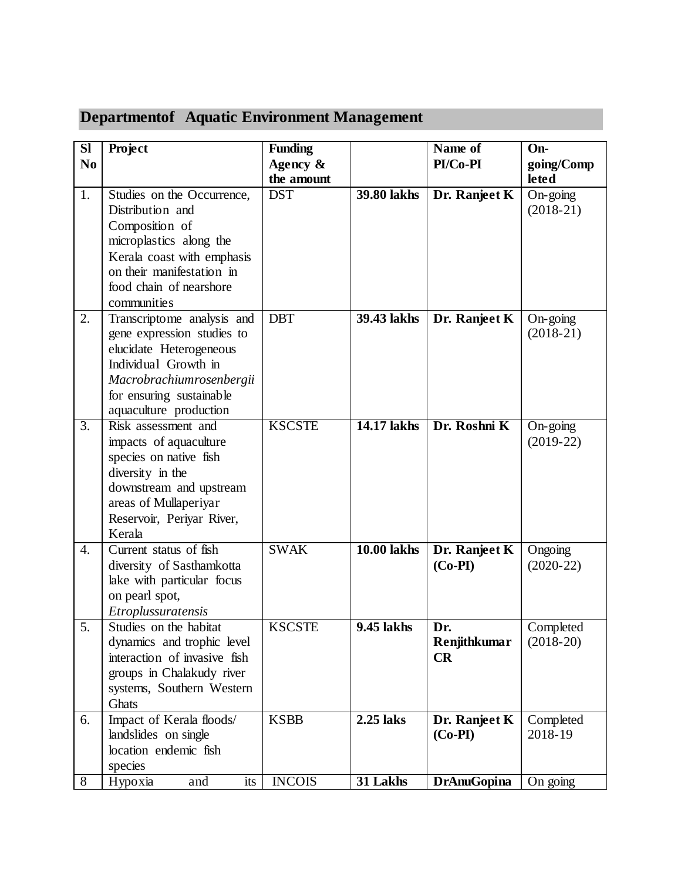| <b>SI</b>        | Project                                                 | Funding       |                    | Name of                    | On-                  |
|------------------|---------------------------------------------------------|---------------|--------------------|----------------------------|----------------------|
| N <sub>0</sub>   |                                                         | Agency $\&$   |                    | PI/Co-PI                   | going/Comp           |
|                  |                                                         | the amount    |                    |                            | leted                |
| 1.               | Studies on the Occurrence,                              | <b>DST</b>    | 39.80 lakhs        | Dr. Ranjeet K              | $On\text{-}going$    |
|                  | Distribution and                                        |               |                    |                            | $(2018-21)$          |
|                  | Composition of                                          |               |                    |                            |                      |
|                  | microplastics along the                                 |               |                    |                            |                      |
|                  | Kerala coast with emphasis<br>on their manifestation in |               |                    |                            |                      |
|                  | food chain of nearshore                                 |               |                    |                            |                      |
|                  | communities                                             |               |                    |                            |                      |
| 2.               | Transcriptome analysis and                              | <b>DBT</b>    | 39.43 lakhs        | Dr. Ranjeet K              | $On\text{-}going$    |
|                  | gene expression studies to                              |               |                    |                            | $(2018-21)$          |
|                  | elucidate Heterogeneous                                 |               |                    |                            |                      |
|                  | Individual Growth in                                    |               |                    |                            |                      |
|                  | Macrobrachiumrosenbergii                                |               |                    |                            |                      |
|                  | for ensuring sustainable                                |               |                    |                            |                      |
|                  | aquaculture production                                  |               |                    |                            |                      |
| $\overline{3}$ . | Risk assessment and                                     | <b>KSCSTE</b> | 14.17 lakhs        | Dr. Roshni K               | $On\text{-}going$    |
|                  | impacts of aquaculture                                  |               |                    |                            | $(2019-22)$          |
|                  | species on native fish                                  |               |                    |                            |                      |
|                  | diversity in the                                        |               |                    |                            |                      |
|                  | downstream and upstream                                 |               |                    |                            |                      |
|                  | areas of Mullaperiyar                                   |               |                    |                            |                      |
|                  | Reservoir, Periyar River,                               |               |                    |                            |                      |
|                  | Kerala                                                  |               |                    |                            |                      |
| 4.               | Current status of fish                                  | <b>SWAK</b>   | <b>10.00 lakhs</b> | Dr. Ranjeet K              | Ongoing              |
|                  | diversity of Sasthamkotta                               |               |                    | $(Co-PI)$                  | $(2020-22)$          |
|                  | lake with particular focus                              |               |                    |                            |                      |
|                  | on pearl spot,                                          |               |                    |                            |                      |
|                  | Etroplussuratensis                                      |               |                    |                            |                      |
| 5.               | Studies on the habitat                                  | <b>KSCSTE</b> | 9.45 lakhs         | Dr.                        | Completed            |
|                  | dynamics and trophic level                              |               |                    | Renjithkumar               | $(2018-20)$          |
|                  | interaction of invasive fish                            |               |                    | CR                         |                      |
|                  | groups in Chalakudy river                               |               |                    |                            |                      |
|                  | systems, Southern Western                               |               |                    |                            |                      |
| 6.               | <b>Ghats</b>                                            | <b>KSBB</b>   | $2.25$ laks        |                            |                      |
|                  | Impact of Kerala floods/<br>landslides on single        |               |                    | Dr. Ranjeet K<br>$(Co-PI)$ | Completed<br>2018-19 |
|                  | location endemic fish                                   |               |                    |                            |                      |
|                  | species                                                 |               |                    |                            |                      |
| 8                | and<br>Hypoxia<br>its                                   | <b>INCOIS</b> | $31$ Lakhs         | <b>DrAnuGopina</b>         | On going             |

# **Departmentof Aquatic Environment Management**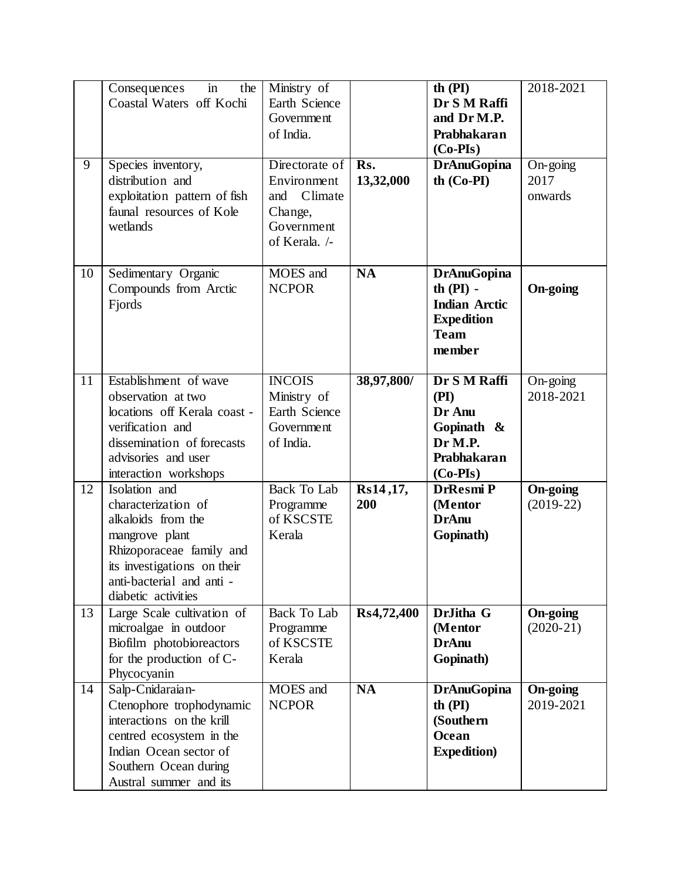| 9  | Consequences<br>in<br>the<br>Coastal Waters off Kochi<br>Species inventory,<br>distribution and<br>exploitation pattern of fish                                                            | Ministry of<br>Earth Science<br>Government<br>of India.<br>Directorate of<br>Environment<br>Climate<br>and | Rs.<br>13,32,000 | th $(PI)$<br>Dr S M Raffi<br>and Dr M.P.<br>Prabhakaran<br>$(Co-PIs)$<br><b>DrAnuGopina</b><br>$th$ (Co-PI) | 2018-2021<br>On-going<br>2017<br>onwards |
|----|--------------------------------------------------------------------------------------------------------------------------------------------------------------------------------------------|------------------------------------------------------------------------------------------------------------|------------------|-------------------------------------------------------------------------------------------------------------|------------------------------------------|
|    | faunal resources of Kole<br>wetlands                                                                                                                                                       | Change,<br>Government<br>of Kerala. /-                                                                     |                  |                                                                                                             |                                          |
| 10 | Sedimentary Organic<br>Compounds from Arctic<br>Fjords                                                                                                                                     | MOES and<br><b>NCPOR</b>                                                                                   | <b>NA</b>        | <b>DrAnuGopina</b><br>th $(PI)$ -<br><b>Indian Arctic</b><br><b>Expedition</b><br><b>Team</b><br>member     | <b>On-going</b>                          |
| 11 | Establishment of wave<br>observation at two<br>locations off Kerala coast -<br>verification and<br>dissemination of forecasts<br>advisories and user<br>interaction workshops              | <b>INCOIS</b><br>Ministry of<br>Earth Science<br>Government<br>of India.                                   | 38,97,800/       | Dr S M Raffi<br>(PI)<br>Dr Anu<br>Gopinath &<br>Dr M.P.<br>Prabhakaran<br>$(Co-PIs)$                        | On-going<br>2018-2021                    |
| 12 | Isolation and<br>characterization of<br>alkaloids from the<br>mangrove plant<br>Rhizoporaceae family and<br>its investigations on their<br>anti-bacterial and anti-<br>diabetic activities | <b>Back To Lab</b><br>Programme<br>of KSCSTE<br>Kerala                                                     | Rs14,17,<br>200  | <b>DrResmi P</b><br>(Mentor<br><b>DrAnu</b><br>Gopinath)                                                    | <b>On-going</b><br>$(2019-22)$           |
| 13 | Large Scale cultivation of<br>microalgae in outdoor<br>Biofilm photobioreactors<br>for the production of C-<br>Phycocyanin                                                                 | <b>Back To Lab</b><br>Programme<br>of KSCSTE<br>Kerala                                                     | Rs4,72,400       | DrJitha G<br>(Mentor<br><b>DrAnu</b><br>Gopinath)                                                           | <b>On-going</b><br>$(2020-21)$           |
| 14 | Salp-Cnidaraian-<br>Ctenophore trophodynamic<br>interactions on the krill<br>centred ecosystem in the<br>Indian Ocean sector of<br>Southern Ocean during<br>Austral summer and its         | MOES and<br><b>NCPOR</b>                                                                                   | <b>NA</b>        | <b>DrAnuGopina</b><br>th $(PI)$<br>(Southern<br>Ocean<br><b>Expedition</b> )                                | <b>On-going</b><br>2019-2021             |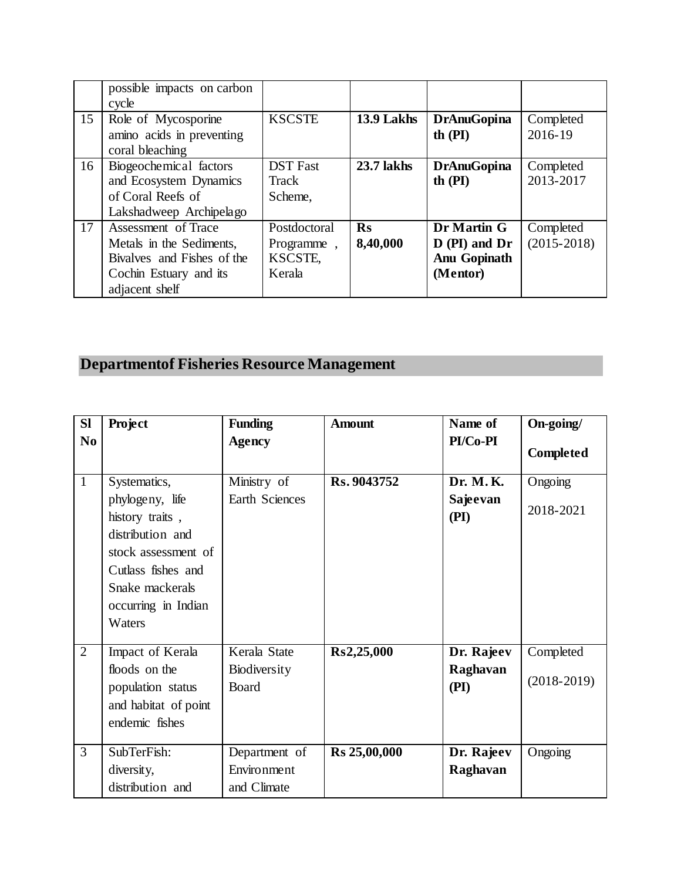|    | possible impacts on carbon<br>cycle          |                 |                   |                     |                 |
|----|----------------------------------------------|-----------------|-------------------|---------------------|-----------------|
| 15 | Role of Mycosporine                          | <b>KSCSTE</b>   | 13.9 Lakhs        | <b>DrAnuGopina</b>  | Completed       |
|    | amino acids in preventing<br>coral bleaching |                 |                   | th $(PI)$           | 2016-19         |
| 16 | Biogeochemical factors                       | <b>DST</b> Fast | <b>23.7 lakhs</b> | <b>DrAnuGopina</b>  | Completed       |
|    | and Ecosystem Dynamics                       | Track           |                   | th $(PI)$           | 2013-2017       |
|    | of Coral Reefs of                            | Scheme,         |                   |                     |                 |
|    | Lakshadweep Archipelago                      |                 |                   |                     |                 |
| 17 | Assessment of Trace                          | Postdoctoral    | <b>Rs</b>         | Dr Martin G         | Completed       |
|    | Metals in the Sediments,                     | Programme,      | 8,40,000          | $D$ (PI) and Dr     | $(2015 - 2018)$ |
|    | Bivalves and Fishes of the                   | KSCSTE,         |                   | <b>Anu Gopinath</b> |                 |
|    | Cochin Estuary and its                       | Kerala          |                   | (Mentor)            |                 |
|    | adjacent shelf                               |                 |                   |                     |                 |

#### **Departmentof Fisheries Resource Management**

| <b>SI</b>      | <b>Project</b>                                                                                                                                          | <b>Funding</b>        | <b>Amount</b> | Name of          | On-going/        |
|----------------|---------------------------------------------------------------------------------------------------------------------------------------------------------|-----------------------|---------------|------------------|------------------|
| N <sub>0</sub> |                                                                                                                                                         | <b>Agency</b>         |               | PI/Co-PI         | <b>Completed</b> |
| $\mathbf{1}$   | Systematics,                                                                                                                                            | Ministry of           | Rs. 9043752   | Dr. M.K.         | Ongoing          |
|                | phylogeny, life<br>history traits,<br>distribution and<br>stock assessment of<br>Cutlass fishes and<br>Snake mackerals<br>occurring in Indian<br>Waters | Earth Sciences        |               | Sajeevan<br>(PI) | 2018-2021        |
| $\overline{2}$ | Impact of Kerala                                                                                                                                        | Kerala State          | Rs2,25,000    | Dr. Rajeev       | Completed        |
|                | floods on the<br>population status<br>and habitat of point<br>endemic fishes                                                                            | Biodiversity<br>Board |               | Raghavan<br>(PI) | $(2018-2019)$    |
| 3              | SubTerFish:                                                                                                                                             | Department of         | Rs 25,00,000  | Dr. Rajeev       | Ongoing          |
|                | diversity,                                                                                                                                              | Environment           |               | Raghavan         |                  |
|                | distribution and                                                                                                                                        | and Climate           |               |                  |                  |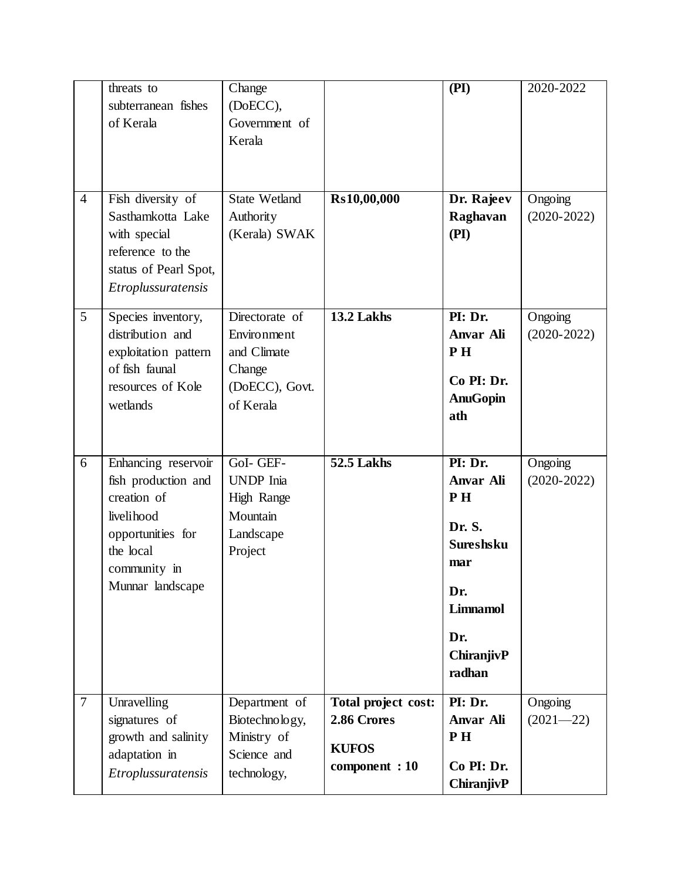|                | threats to<br>subterranean fishes<br>of Kerala                                                                                                | Change<br>(DoECC),<br>Government of<br>Kerala                                         |                                                                      | (PI)                                                                                                                     | 2020-2022                |
|----------------|-----------------------------------------------------------------------------------------------------------------------------------------------|---------------------------------------------------------------------------------------|----------------------------------------------------------------------|--------------------------------------------------------------------------------------------------------------------------|--------------------------|
| $\overline{4}$ | Fish diversity of<br>Sasthamkotta Lake<br>with special<br>reference to the<br>status of Pearl Spot,<br>Etroplussuratensis                     | <b>State Wetland</b><br>Authority<br>(Kerala) SWAK                                    | Rs10,00,000                                                          | Dr. Rajeev<br>Raghavan<br>(PI)                                                                                           | Ongoing<br>$(2020-2022)$ |
| 5              | Species inventory,<br>distribution and<br>exploitation pattern<br>of fish faunal<br>resources of Kole<br>wetlands                             | Directorate of<br>Environment<br>and Climate<br>Change<br>(DoECC), Govt.<br>of Kerala | 13.2 Lakhs                                                           | PI: Dr.<br>Anvar Ali<br>PH <sub>1</sub><br>Co PI: Dr.<br><b>AnuGopin</b><br>ath                                          | Ongoing<br>$(2020-2022)$ |
| 6              | Enhancing reservoir<br>fish production and<br>creation of<br>livelihood<br>opportunities for<br>the local<br>community in<br>Munnar landscape | GoI- GEF-<br><b>UNDP</b> Inia<br>High Range<br>Mountain<br>Landscape<br>Project       | 52.5 Lakhs                                                           | PI: Dr.<br>Anvar Ali<br>PH<br>Dr. S.<br><b>Sureshsku</b><br>mar<br>Dr.<br><b>Limnamol</b><br>Dr.<br>ChiranjivP<br>radhan | Ongoing<br>$(2020-2022)$ |
| $\overline{7}$ | Unravelling<br>signatures of<br>growth and salinity<br>adaptation in<br>Etroplussuratensis                                                    | Department of<br>Biotechnology,<br>Ministry of<br>Science and<br>technology,          | Total project cost:<br>2.86 Crores<br><b>KUFOS</b><br>component : 10 | PI: Dr.<br><b>Anvar Ali</b><br>PH<br>Co PI: Dr.<br>ChiranjivP                                                            | Ongoing<br>$(2021 - 22)$ |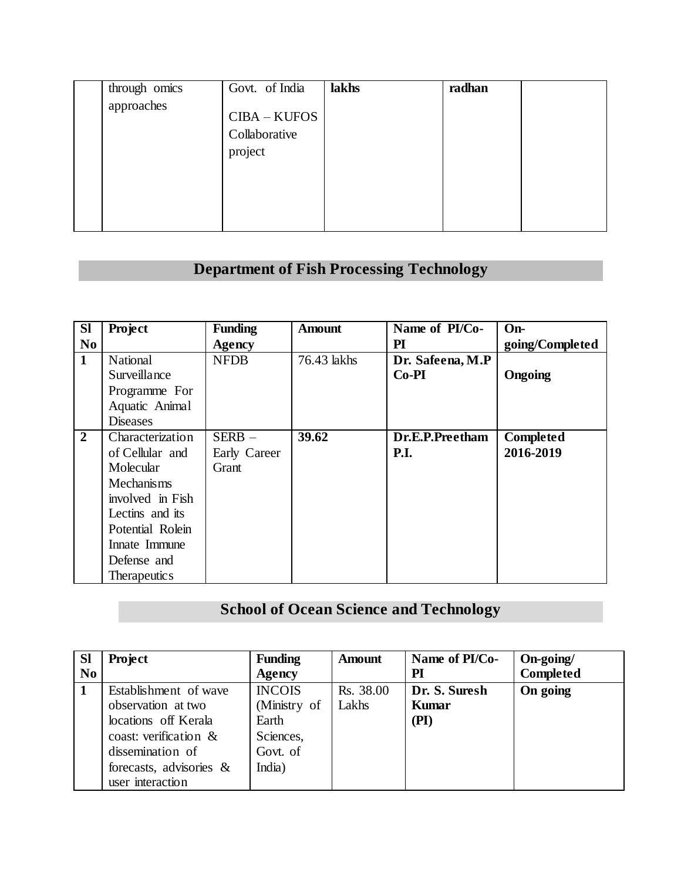| through omics<br>approaches | Govt. of India<br>CIBA - KUFOS<br>Collaborative<br>project | lakhs | radhan |  |
|-----------------------------|------------------------------------------------------------|-------|--------|--|
|                             |                                                            |       |        |  |

#### **Department of Fish Processing Technology**

| <b>SI</b>      | Project                  | <b>Funding</b> | <b>Amount</b> | Name of PI/Co-   | $On-$           |
|----------------|--------------------------|----------------|---------------|------------------|-----------------|
| N <sub>0</sub> |                          | <b>Agency</b>  |               | $\mathbf{PI}$    | going/Completed |
| $\mathbf{1}$   | National                 | <b>NFDB</b>    | 76.43 lakhs   | Dr. Safeena, M.P |                 |
|                | Surveillance             |                |               | $Co-PI$          | <b>Ongoing</b>  |
|                | Programme For            |                |               |                  |                 |
|                | Aquatic Animal           |                |               |                  |                 |
|                | <b>Diseases</b>          |                |               |                  |                 |
| $\overline{2}$ | Characterization         | $SERB -$       | 39.62         | Dr.E.P.Preetham  | Completed       |
|                | of Cellular and          | Early Career   |               | <b>P.I.</b>      | 2016-2019       |
|                | Molecular                | Grant          |               |                  |                 |
|                | <b>Mechanisms</b>        |                |               |                  |                 |
|                | involved in Fish         |                |               |                  |                 |
|                | Lectins and its          |                |               |                  |                 |
|                | Potential Rolein         |                |               |                  |                 |
|                | Innate Immune            |                |               |                  |                 |
|                | Defense and              |                |               |                  |                 |
|                | Therapeutic <sub>s</sub> |                |               |                  |                 |

#### **School of Ocean Science and Technology**

| <b>Sl</b> | <b>Project</b>             | <b>Funding</b> | <b>Amount</b> | Name of PI/Co- | On-going/        |
|-----------|----------------------------|----------------|---------------|----------------|------------------|
| $\bf No$  |                            | Agency         |               | PI             | <b>Completed</b> |
| 1         | Establishment of wave      | <b>INCOIS</b>  | Rs. 38.00     | Dr. S. Suresh  | On going         |
|           | observation at two         | (Ministry of   | Lakhs         | <b>Kumar</b>   |                  |
|           | locations off Kerala       | Earth          |               | (PI)           |                  |
|           | coast: verification $\&$   | Sciences,      |               |                |                  |
|           | dissemination of           | Govt. of       |               |                |                  |
|           | forecasts, advisories $\&$ | India)         |               |                |                  |
|           | user interaction           |                |               |                |                  |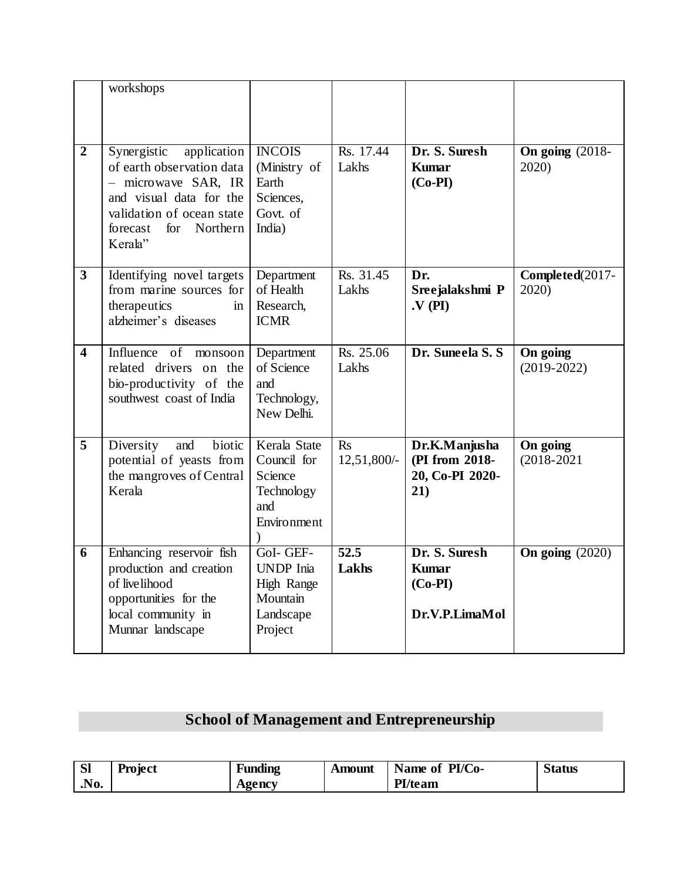|                         | workshops                                                                                                                                                                     |                                                                                        |                            |                                                              |                             |
|-------------------------|-------------------------------------------------------------------------------------------------------------------------------------------------------------------------------|----------------------------------------------------------------------------------------|----------------------------|--------------------------------------------------------------|-----------------------------|
| $\overline{2}$          | Synergistic application<br>of earth observation data<br>- microwave SAR, IR<br>and visual data for the<br>validation of ocean state<br>for<br>Northern<br>forecast<br>Kerala" | <b>INCOIS</b><br>(Ministry of<br>Earth<br>Sciences,<br>Govt. of<br>India)              | Rs. 17.44<br>Lakhs         | Dr. S. Suresh<br><b>Kumar</b><br>$(Co-PI)$                   | On going $(2018 -$<br>2020) |
| $\overline{\mathbf{3}}$ | Identifying novel targets<br>from marine sources for<br>therapeutics<br>in<br>alzheimer's diseases                                                                            | Department<br>of Health<br>Research,<br><b>ICMR</b>                                    | Rs. 31.45<br>Lakhs         | Dr.<br>Sreejalakshmi P<br>$\mathbf{V}(\mathbf{PI})$          | Completed(2017-<br>2020)    |
| $\overline{\mathbf{4}}$ | Influence of<br>monsoon<br>related drivers on the<br>bio-productivity of the<br>southwest coast of India                                                                      | Department<br>of Science<br>and<br>Technology,<br>New Delhi.                           | Rs. 25.06<br>Lakhs         | Dr. Suneela S.S.                                             | On going<br>$(2019-2022)$   |
| 5                       | Diversity<br>and<br>biotic<br>potential of yeasts from<br>the mangroves of Central<br>Kerala                                                                                  | Kerala State<br>Council for<br>Science<br>Technology<br>and<br>Environment             | <b>Rs</b><br>12,51,800/-   | Dr.K.Manjusha<br>(PI from 2018-<br>20, Co-PI 2020-<br>21)    | On going<br>$(2018 - 2021)$ |
| 6                       | Enhancing reservoir fish<br>production and creation<br>of livelihood<br>opportunities for the<br>local community in<br>Munnar landscape                                       | GoI- GEF-<br><b>UNDP</b> Inia<br><b>High Range</b><br>Mountain<br>Landscape<br>Project | $\overline{52.5}$<br>Lakhs | Dr. S. Suresh<br><b>Kumar</b><br>$(Co-PI)$<br>Dr.V.P.LimaMol | On going $(2020)$           |

## **School of Management and Entrepreneurship**

| <b>Sl</b>      | <b>Project</b> | Funding | Amount | Name of PI/Co- | <b>Status</b> |
|----------------|----------------|---------|--------|----------------|---------------|
| N <sub>0</sub> |                | Agency  |        | <b>PI/team</b> |               |